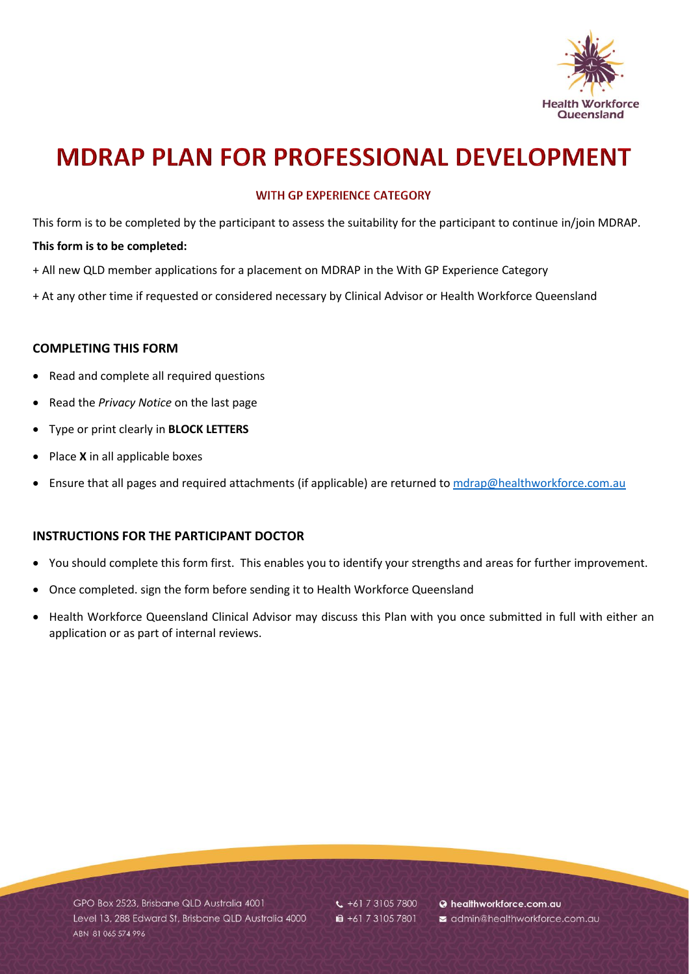

# **MDRAP PLAN FOR PROFESSIONAL DEVELOPMENT**

### **WITH GP EXPERIENCE CATEGORY**

This form is to be completed by the participant to assess the suitability for the participant to continue in/join MDRAP.

#### **This form is to be completed:**

- + All new QLD member applications for a placement on MDRAP in the With GP Experience Category
- + At any other time if requested or considered necessary by Clinical Advisor or Health Workforce Queensland

### **COMPLETING THIS FORM**

- Read and complete all required questions
- Read the *Privacy Notice* on the last page
- Type or print clearly in **BLOCK LETTERS**
- Place **X** in all applicable boxes
- Ensure that all pages and required attachments (if applicable) are returned to [mdrap@healthworkforce.com.au](mailto:mdrap@healthworkforce.com.au)

#### **INSTRUCTIONS FOR THE PARTICIPANT DOCTOR**

- You should complete this form first. This enables you to identify your strengths and areas for further improvement.
- Once completed. sign the form before sending it to Health Workforce Queensland
- Health Workforce Queensland Clinical Advisor may discuss this Plan with you once submitted in full with either an application or as part of internal reviews.

GPO Box 2523, Brisbane QLD Australia 4001 Level 13, 288 Edward St, Brisbane QLD Australia 4000 ABN 81 065 574 996

 $\frac{1}{2}$  +61 7 3105 7800 ■ +61 7 3105 7801

@ healthworkforce.com.au admin@healthworkforce.com.au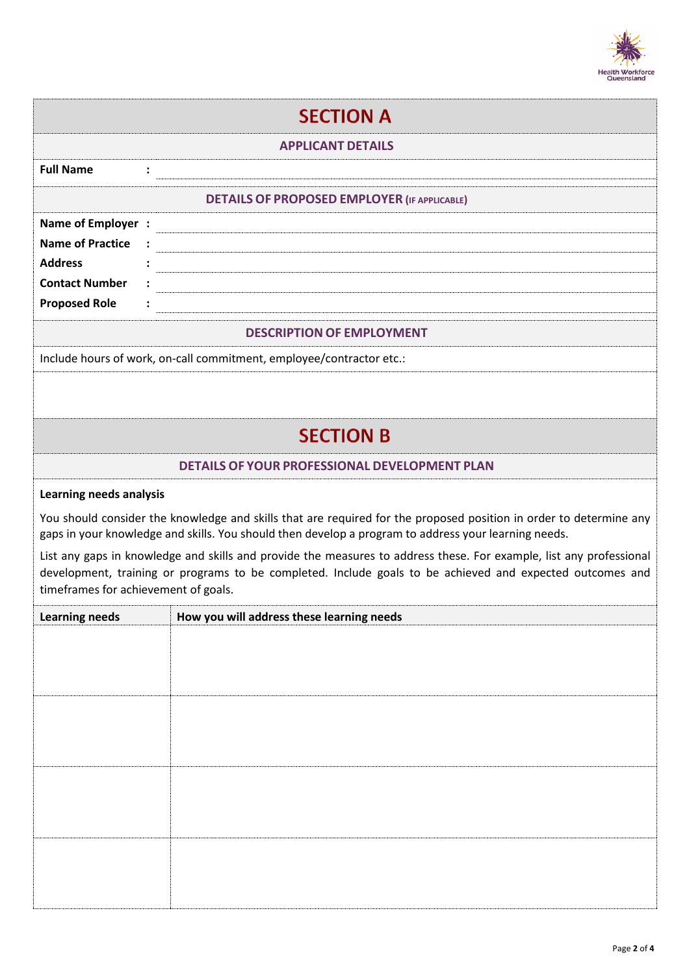

| <b>SECTION A</b>                                                                                                                                                                                                                                                         |                                               |  |  |  |
|--------------------------------------------------------------------------------------------------------------------------------------------------------------------------------------------------------------------------------------------------------------------------|-----------------------------------------------|--|--|--|
| <b>APPLICANT DETAILS</b>                                                                                                                                                                                                                                                 |                                               |  |  |  |
| <b>Full Name</b>                                                                                                                                                                                                                                                         |                                               |  |  |  |
| <b>DETAILS OF PROPOSED EMPLOYER (IF APPLICABLE)</b>                                                                                                                                                                                                                      |                                               |  |  |  |
| Name of Employer :<br><b>Name of Practice</b><br><b>Address</b><br><b>Contact Number</b><br><b>Proposed Role</b>                                                                                                                                                         |                                               |  |  |  |
| <b>DESCRIPTION OF EMPLOYMENT</b>                                                                                                                                                                                                                                         |                                               |  |  |  |
| Include hours of work, on-call commitment, employee/contractor etc.:                                                                                                                                                                                                     |                                               |  |  |  |
|                                                                                                                                                                                                                                                                          | <b>SECTION B</b>                              |  |  |  |
|                                                                                                                                                                                                                                                                          | DETAILS OF YOUR PROFESSIONAL DEVELOPMENT PLAN |  |  |  |
| <b>Learning needs analysis</b>                                                                                                                                                                                                                                           |                                               |  |  |  |
| You should consider the knowledge and skills that are required for the proposed position in order to determine any<br>gaps in your knowledge and skills. You should then develop a program to address your learning needs.                                               |                                               |  |  |  |
| List any gaps in knowledge and skills and provide the measures to address these. For example, list any professional<br>development, training or programs to be completed. Include goals to be achieved and expected outcomes and<br>timeframes for achievement of goals. |                                               |  |  |  |
| <b>Learning needs</b>                                                                                                                                                                                                                                                    | How you will address these learning needs     |  |  |  |
|                                                                                                                                                                                                                                                                          |                                               |  |  |  |
|                                                                                                                                                                                                                                                                          |                                               |  |  |  |
|                                                                                                                                                                                                                                                                          |                                               |  |  |  |
|                                                                                                                                                                                                                                                                          |                                               |  |  |  |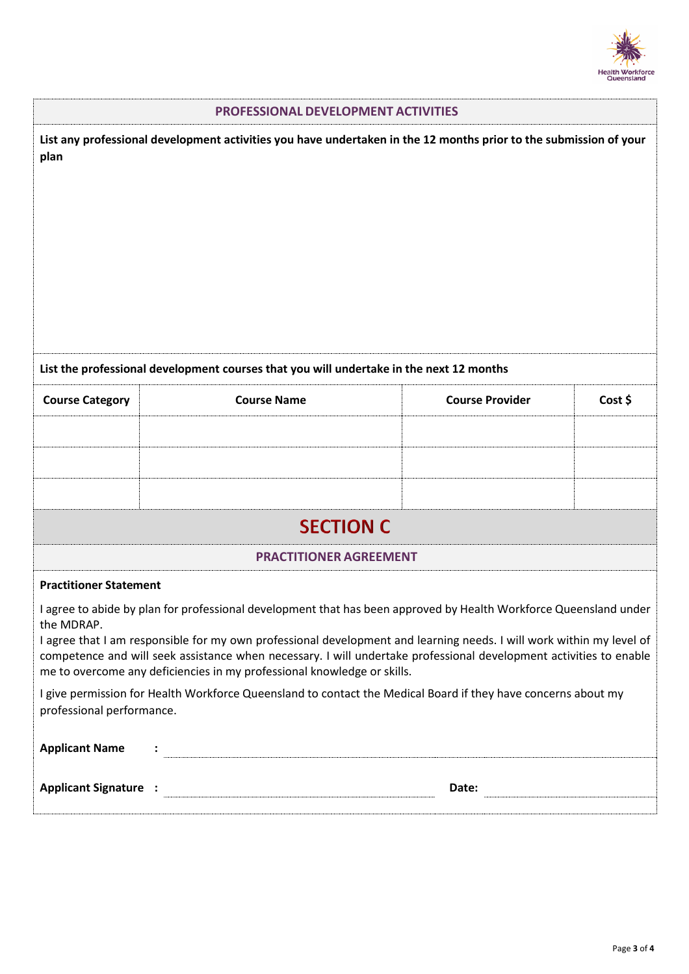

| <b>PROFESSIONAL DEVELOPMENT ACTIVITIES</b>                                                                                                                                                                                                                                                                                                                                                                                                               |                                                                                                               |                        |         |  |  |
|----------------------------------------------------------------------------------------------------------------------------------------------------------------------------------------------------------------------------------------------------------------------------------------------------------------------------------------------------------------------------------------------------------------------------------------------------------|---------------------------------------------------------------------------------------------------------------|------------------------|---------|--|--|
| List any professional development activities you have undertaken in the 12 months prior to the submission of your<br>plan                                                                                                                                                                                                                                                                                                                                |                                                                                                               |                        |         |  |  |
| List the professional development courses that you will undertake in the next 12 months                                                                                                                                                                                                                                                                                                                                                                  |                                                                                                               |                        |         |  |  |
| <b>Course Category</b>                                                                                                                                                                                                                                                                                                                                                                                                                                   | <b>Course Name</b>                                                                                            | <b>Course Provider</b> | Cost \$ |  |  |
|                                                                                                                                                                                                                                                                                                                                                                                                                                                          |                                                                                                               |                        |         |  |  |
|                                                                                                                                                                                                                                                                                                                                                                                                                                                          |                                                                                                               |                        |         |  |  |
|                                                                                                                                                                                                                                                                                                                                                                                                                                                          |                                                                                                               |                        |         |  |  |
| <b>SECTION C</b>                                                                                                                                                                                                                                                                                                                                                                                                                                         |                                                                                                               |                        |         |  |  |
| <b>PRACTITIONER AGREEMENT</b>                                                                                                                                                                                                                                                                                                                                                                                                                            |                                                                                                               |                        |         |  |  |
| <b>Practitioner Statement</b>                                                                                                                                                                                                                                                                                                                                                                                                                            |                                                                                                               |                        |         |  |  |
| I agree to abide by plan for professional development that has been approved by Health Workforce Queensland under<br>the MDRAP.<br>I agree that I am responsible for my own professional development and learning needs. I will work within my level of<br>competence and will seek assistance when necessary. I will undertake professional development activities to enable<br>me to overcome any deficiencies in my professional knowledge or skills. |                                                                                                               |                        |         |  |  |
| professional performance.                                                                                                                                                                                                                                                                                                                                                                                                                                | I give permission for Health Workforce Queensland to contact the Medical Board if they have concerns about my |                        |         |  |  |
| <b>Applicant Name</b>                                                                                                                                                                                                                                                                                                                                                                                                                                    |                                                                                                               |                        |         |  |  |
|                                                                                                                                                                                                                                                                                                                                                                                                                                                          |                                                                                                               |                        |         |  |  |